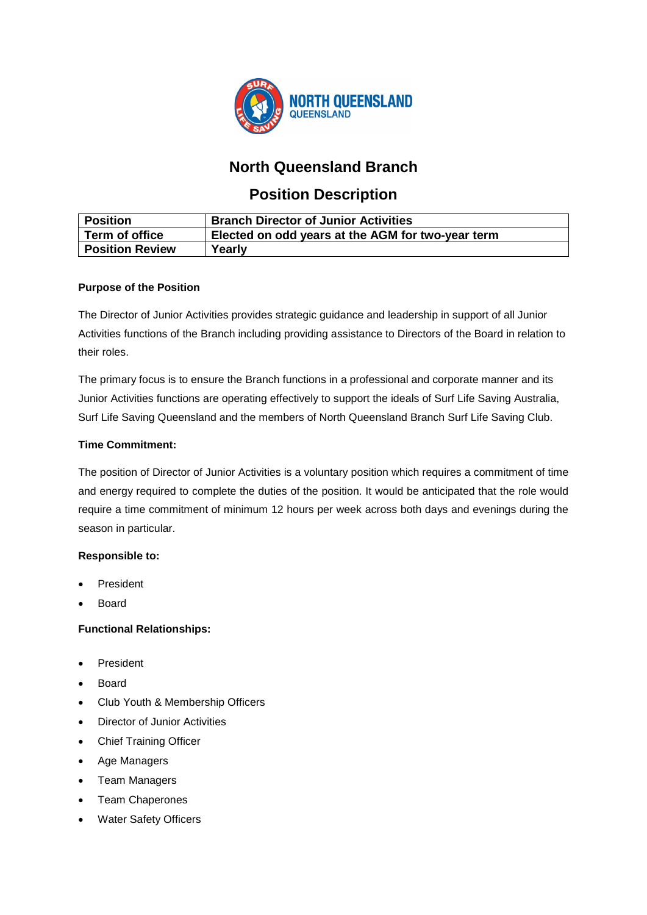

# **North Queensland Branch**

## **Position Description**

| <b>Position</b>        | <b>Branch Director of Junior Activities</b>       |
|------------------------|---------------------------------------------------|
| Term of office         | Elected on odd years at the AGM for two-year term |
| <b>Position Review</b> | Yearly                                            |

## **Purpose of the Position**

The Director of Junior Activities provides strategic guidance and leadership in support of all Junior Activities functions of the Branch including providing assistance to Directors of the Board in relation to their roles.

The primary focus is to ensure the Branch functions in a professional and corporate manner and its Junior Activities functions are operating effectively to support the ideals of Surf Life Saving Australia, Surf Life Saving Queensland and the members of North Queensland Branch Surf Life Saving Club.

## **Time Commitment:**

The position of Director of Junior Activities is a voluntary position which requires a commitment of time and energy required to complete the duties of the position. It would be anticipated that the role would require a time commitment of minimum 12 hours per week across both days and evenings during the season in particular.

## **Responsible to:**

- **President**
- **Board**

## **Functional Relationships:**

- **President**
- Board
- Club Youth & Membership Officers
- **Director of Junior Activities**
- Chief Training Officer
- Age Managers
- Team Managers
- Team Chaperones
- **Water Safety Officers**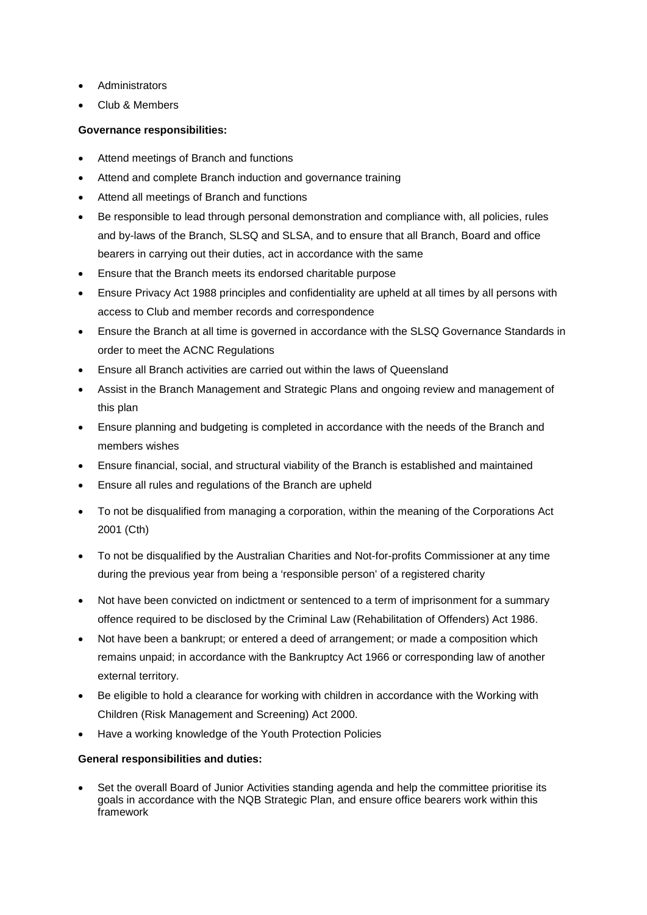- **Administrators**
- Club & Members

### **Governance responsibilities:**

- Attend meetings of Branch and functions
- Attend and complete Branch induction and governance training
- Attend all meetings of Branch and functions
- Be responsible to lead through personal demonstration and compliance with, all policies, rules and by-laws of the Branch, SLSQ and SLSA, and to ensure that all Branch, Board and office bearers in carrying out their duties, act in accordance with the same
- Ensure that the Branch meets its endorsed charitable purpose
- Ensure Privacy Act 1988 principles and confidentiality are upheld at all times by all persons with access to Club and member records and correspondence
- Ensure the Branch at all time is governed in accordance with the SLSQ Governance Standards in order to meet the ACNC Regulations
- Ensure all Branch activities are carried out within the laws of Queensland
- Assist in the Branch Management and Strategic Plans and ongoing review and management of this plan
- Ensure planning and budgeting is completed in accordance with the needs of the Branch and members wishes
- Ensure financial, social, and structural viability of the Branch is established and maintained
- Ensure all rules and regulations of the Branch are upheld
- To not be disqualified from managing a corporation, within the meaning of the Corporations Act 2001 (Cth)
- To not be disqualified by the Australian Charities and Not-for-profits Commissioner at any time during the previous year from being a 'responsible person' of a registered charity
- Not have been convicted on indictment or sentenced to a term of imprisonment for a summary offence required to be disclosed by the Criminal Law (Rehabilitation of Offenders) Act 1986.
- Not have been a bankrupt; or entered a deed of arrangement; or made a composition which remains unpaid; in accordance with the Bankruptcy Act 1966 or corresponding law of another external territory.
- Be eligible to hold a clearance for working with children in accordance with the Working with Children (Risk Management and Screening) Act 2000.
- Have a working knowledge of the Youth Protection Policies

### **General responsibilities and duties:**

• Set the overall Board of Junior Activities standing agenda and help the committee prioritise its goals in accordance with the NQB Strategic Plan, and ensure office bearers work within this framework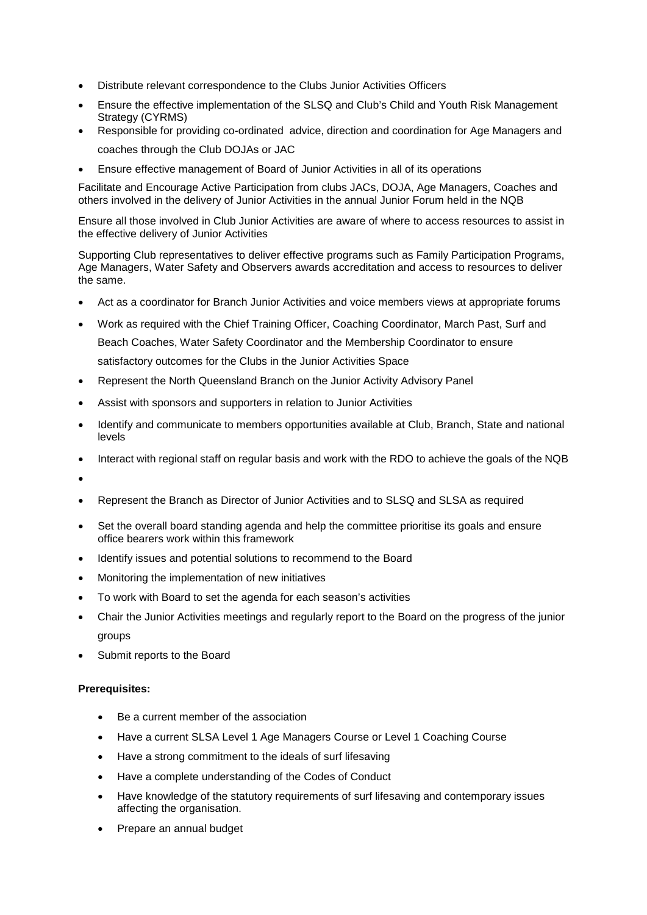- Distribute relevant correspondence to the Clubs Junior Activities Officers
- Ensure the effective implementation of the SLSQ and Club's Child and Youth Risk Management Strategy (CYRMS)
- Responsible for providing co-ordinated advice, direction and coordination for Age Managers and coaches through the Club DOJAs or JAC
- Ensure effective management of Board of Junior Activities in all of its operations

Facilitate and Encourage Active Participation from clubs JACs, DOJA, Age Managers, Coaches and others involved in the delivery of Junior Activities in the annual Junior Forum held in the NQB

Ensure all those involved in Club Junior Activities are aware of where to access resources to assist in the effective delivery of Junior Activities

Supporting Club representatives to deliver effective programs such as Family Participation Programs, Age Managers, Water Safety and Observers awards accreditation and access to resources to deliver the same.

- Act as a coordinator for Branch Junior Activities and voice members views at appropriate forums
- Work as required with the Chief Training Officer, Coaching Coordinator, March Past, Surf and Beach Coaches, Water Safety Coordinator and the Membership Coordinator to ensure satisfactory outcomes for the Clubs in the Junior Activities Space
- Represent the North Queensland Branch on the Junior Activity Advisory Panel
- Assist with sponsors and supporters in relation to Junior Activities
- Identify and communicate to members opportunities available at Club, Branch, State and national levels
- Interact with regional staff on regular basis and work with the RDO to achieve the goals of the NQB
- •
- Represent the Branch as Director of Junior Activities and to SLSQ and SLSA as required
- Set the overall board standing agenda and help the committee prioritise its goals and ensure office bearers work within this framework
- Identify issues and potential solutions to recommend to the Board
- Monitoring the implementation of new initiatives
- To work with Board to set the agenda for each season's activities
- Chair the Junior Activities meetings and regularly report to the Board on the progress of the junior groups
- Submit reports to the Board

#### **Prerequisites:**

- Be a current member of the association
- Have a current SLSA Level 1 Age Managers Course or Level 1 Coaching Course
- Have a strong commitment to the ideals of surf lifesaving
- Have a complete understanding of the Codes of Conduct
- Have knowledge of the statutory requirements of surf lifesaving and contemporary issues affecting the organisation.
- Prepare an annual budget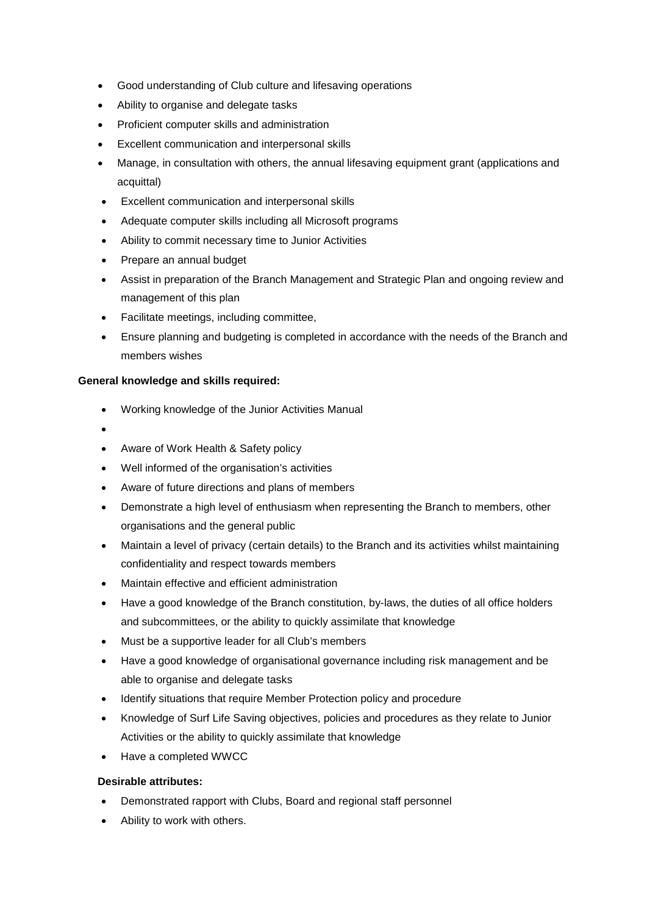- Good understanding of Club culture and lifesaving operations
- Ability to organise and delegate tasks
- Proficient computer skills and administration
- Excellent communication and interpersonal skills
- Manage, in consultation with others, the annual lifesaving equipment grant (applications and acquittal)
- Excellent communication and interpersonal skills
- Adequate computer skills including all Microsoft programs
- Ability to commit necessary time to Junior Activities
- Prepare an annual budget
- Assist in preparation of the Branch Management and Strategic Plan and ongoing review and management of this plan
- Facilitate meetings, including committee,
- Ensure planning and budgeting is completed in accordance with the needs of the Branch and members wishes

### **General knowledge and skills required:**

- Working knowledge of the Junior Activities Manual
- •
- Aware of Work Health & Safety policy
- Well informed of the organisation's activities
- Aware of future directions and plans of members
- Demonstrate a high level of enthusiasm when representing the Branch to members, other organisations and the general public
- Maintain a level of privacy (certain details) to the Branch and its activities whilst maintaining confidentiality and respect towards members
- Maintain effective and efficient administration
- Have a good knowledge of the Branch constitution, by-laws, the duties of all office holders and subcommittees, or the ability to quickly assimilate that knowledge
- Must be a supportive leader for all Club's members
- Have a good knowledge of organisational governance including risk management and be able to organise and delegate tasks
- Identify situations that require Member Protection policy and procedure
- Knowledge of Surf Life Saving objectives, policies and procedures as they relate to Junior Activities or the ability to quickly assimilate that knowledge
- Have a completed WWCC

### **Desirable attributes:**

- Demonstrated rapport with Clubs, Board and regional staff personnel
- Ability to work with others.